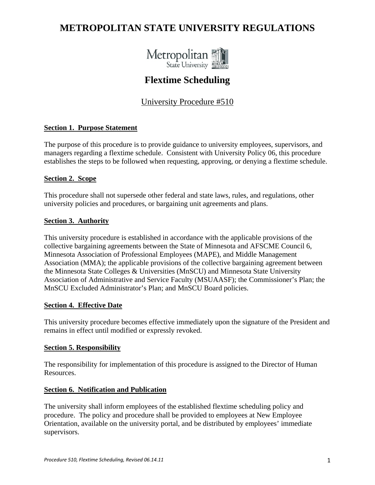# **METROPOLITAN STATE UNIVERSITY REGULATIONS**



## **Flextime Scheduling**

## University Procedure #510

## **Section 1. Purpose Statement**

The purpose of this procedure is to provide guidance to university employees, supervisors, and managers regarding a flextime schedule. Consistent with University Policy 06, this procedure establishes the steps to be followed when requesting, approving, or denying a flextime schedule.

## **Section 2. Scope**

This procedure shall not supersede other federal and state laws, rules, and regulations, other university policies and procedures, or bargaining unit agreements and plans.

#### **Section 3. Authority**

This university procedure is established in accordance with the applicable provisions of the collective bargaining agreements between the State of Minnesota and AFSCME Council 6, Minnesota Association of Professional Employees (MAPE), and Middle Management Association (MMA); the applicable provisions of the collective bargaining agreement between the Minnesota State Colleges & Universities (MnSCU) and Minnesota State University Association of Administrative and Service Faculty (MSUAASF); the Commissioner's Plan; the MnSCU Excluded Administrator's Plan; and MnSCU Board policies.

## **Section 4. Effective Date**

This university procedure becomes effective immediately upon the signature of the President and remains in effect until modified or expressly revoked.

#### **Section 5. Responsibility**

The responsibility for implementation of this procedure is assigned to the Director of Human Resources.

## **Section 6. Notification and Publication**

The university shall inform employees of the established flextime scheduling policy and procedure. The policy and procedure shall be provided to employees at New Employee Orientation, available on the university portal, and be distributed by employees' immediate supervisors.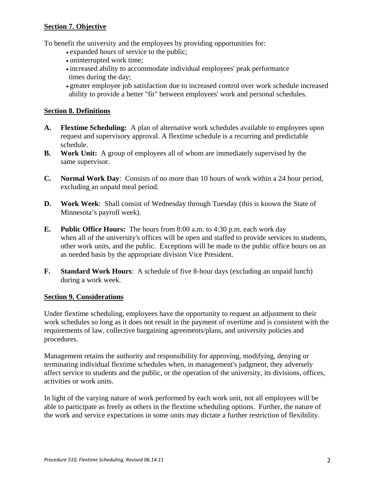## **Section 7. Objective**

To benefit the university and the employees by providing opportunities for:

- expanded hours of service to the public;
- uninterrupted work time;
- increased ability to accommodate individual employees' peak performance times during the day;
- greater employee job satisfaction due to increased control over work schedule increased ability to provide a better "fit" between employees' work and personal schedules.

## **Section 8. Definitions**

- **A. Flextime Scheduling:** A plan of alternative work schedules available to employees upon request and supervisory approval. A flextime schedule is a recurring and predictable schedule.
- **B. Work Unit:** A group of employees all of whom are immediately supervised by the same supervisor.
- **C. Normal Work Day**: Consists of no more than 10 hours of work within a 24 hour period, excluding an unpaid meal period.
- **D. Work Week**: Shall consist of Wednesday through Tuesday (this is known the State of Minnesota's payroll week).
- **E. Public Office Hours:** The hours from 8:00 a.m. to 4:30 p.m. each work day when all of the university's offices will be open and staffed to provide services to students, other work units, and the public. Exceptions will be made to the public office hours on an as needed basis by the appropriate division Vice President.
- **F. Standard Work Hours**: A schedule of five 8-hour days (excluding an unpaid lunch) during a work week.

## **Section 9. Considerations**

Under flextime scheduling, employees have the opportunity to request an adjustment to their work schedules so long as it does not result in the payment of overtime and is consistent with the requirements of law, collective bargaining agreements/plans, and university policies and procedures.

Management retains the authority and responsibility for approving, modifying, denying or terminating individual flextime schedules when, in management's judgment, they adversely affect service to students and the public, or the operation of the university, its divisions, offices, activities or work units.

In light of the varying nature of work performed by each work unit, not all employees will be able to participate as freely as others in the flextime scheduling options. Further, the nature of the work and service expectations in some units may dictate a further restriction of flexibility.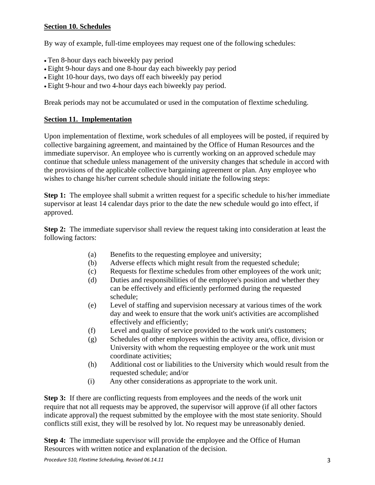## **Section 10. Schedules**

By way of example, full-time employees may request one of the following schedules:

- Ten 8-hour days each biweekly pay period
- Eight 9-hour days and one 8-hour day each biweekly pay period
- Eight 10-hour days, two days off each biweekly pay period
- Eight 9-hour and two 4-hour days each biweekly pay period.

Break periods may not be accumulated or used in the computation of flextime scheduling.

## **Section 11. Implementation**

Upon implementation of flextime, work schedules of all employees will be posted, if required by collective bargaining agreement, and maintained by the Office of Human Resources and the immediate supervisor. An employee who is currently working on an approved schedule may continue that schedule unless management of the university changes that schedule in accord with the provisions of the applicable collective bargaining agreement or plan. Any employee who wishes to change his/her current schedule should initiate the following steps:

**Step 1:** The employee shall submit a written request for a specific schedule to his/her immediate supervisor at least 14 calendar days prior to the date the new schedule would go into effect, if approved.

**Step 2:** The immediate supervisor shall review the request taking into consideration at least the following factors:

- (a) Benefits to the requesting employee and university;
- (b) Adverse effects which might result from the requested schedule;
- (c) Requests for flextime schedules from other employees of the work unit;
- (d) Duties and responsibilities of the employee's position and whether they can be effectively and efficiently performed during the requested schedule;
- (e) Level of staffing and supervision necessary at various times of the work day and week to ensure that the work unit's activities are accomplished effectively and efficiently;
- (f) Level and quality of service provided to the work unit's customers;
- (g) Schedules of other employees within the activity area, office, division or University with whom the requesting employee or the work unit must coordinate activities;
- (h) Additional cost or liabilities to the University which would result from the requested schedule; and/or
- (i) Any other considerations as appropriate to the work unit.

**Step 3:** If there are conflicting requests from employees and the needs of the work unit require that not all requests may be approved, the supervisor will approve (if all other factors indicate approval) the request submitted by the employee with the most state seniority. Should conflicts still exist, they will be resolved by lot. No request may be unreasonably denied.

**Step 4:** The immediate supervisor will provide the employee and the Office of Human Resources with written notice and explanation of the decision.